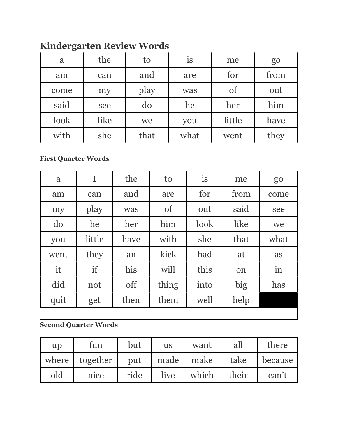| a    | the  | to   | <i>is</i> | me     | go   |
|------|------|------|-----------|--------|------|
| am   | can  | and  | are       | for    | from |
| come | my   | play | was       | of     | out  |
| said | see  | do   | he        | her    | him  |
| look | like | we   | you       | little | have |
| with | she  | that | what      | went   | they |

## **Kindergarten Review Words**

## **First Quarter Words**

| a    | I      | the  | to            | is   | me   | go   |
|------|--------|------|---------------|------|------|------|
| am   | can    | and  | are           | for  | from | come |
| my   | play   | was  | <sub>of</sub> | out  | said | see  |
| do   | he     | her  | him           | look | like | we   |
| you  | little | have | with          | she  | that | what |
| went | they   | an   | kick          | had  | at   | as   |
| it   | if     | his  | will          | this | on   | in   |
| did  | not    | off  | thing         | into | big  | has  |
| quit | get    | then | them          | well | help |      |

## **Second Quarter Words**

| up  | tun            | but  | <b>us</b> | want      | all   | there   |
|-----|----------------|------|-----------|-----------|-------|---------|
|     | where together | put  |           | made make | take  | because |
| old | nice           | ride | live      | which     | their | can't   |